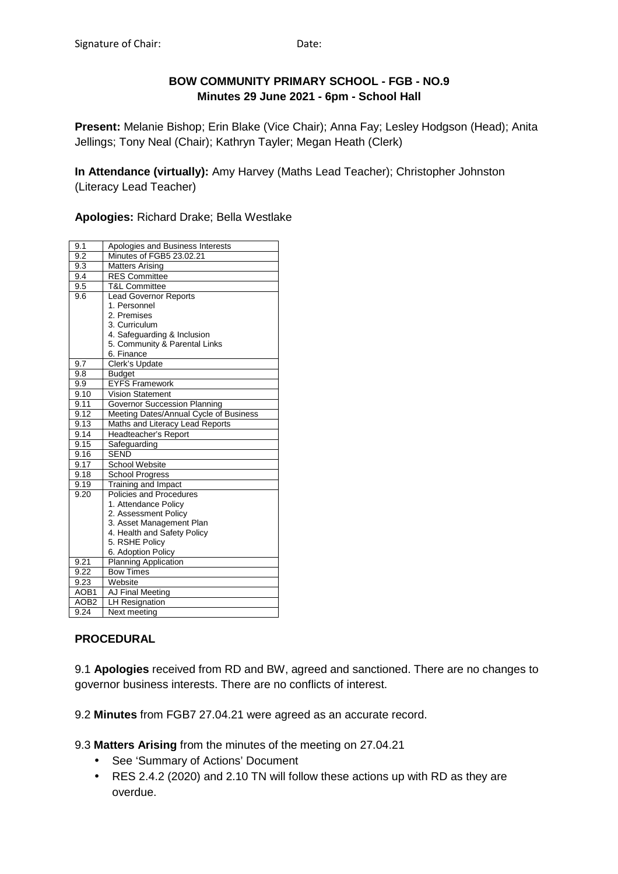# **BOW COMMUNITY PRIMARY SCHOOL - FGB - NO.9 Minutes 29 June 2021 - 6pm - School Hall**

**Present:** Melanie Bishop; Erin Blake (Vice Chair); Anna Fay; Lesley Hodgson (Head); Anita Jellings; Tony Neal (Chair); Kathryn Tayler; Megan Heath (Clerk)

**In Attendance (virtually):** Amy Harvey (Maths Lead Teacher); Christopher Johnston (Literacy Lead Teacher)

**Apologies:** Richard Drake; Bella Westlake

| 9.1              | Apologies and Business Interests       |
|------------------|----------------------------------------|
| 9.2              | Minutes of FGB5 23.02.21               |
| 9.3              | <b>Matters Arising</b>                 |
| 9.4              | <b>RES Committee</b>                   |
| 9.5              | T&L Committee                          |
| 9.6              | <b>Lead Governor Reports</b>           |
|                  | 1. Personnel                           |
|                  | 2. Premises                            |
|                  | 3. Curriculum                          |
|                  | 4. Safeguarding & Inclusion            |
|                  | 5. Community & Parental Links          |
|                  | 6. Finance                             |
| 9.7              | Clerk's Update                         |
| 9.8              | <b>Budget</b>                          |
| 9.9              | <b>EYFS Framework</b>                  |
| 9.10             | <b>Vision Statement</b>                |
| 9.11             | Governor Succession Planning           |
| 9.12             | Meeting Dates/Annual Cycle of Business |
| 9.13             | Maths and Literacy Lead Reports        |
| 9.14             | Headteacher's Report                   |
| 9.15             | Safeguarding                           |
| 9.16             | <b>SEND</b>                            |
| 9.17             | <b>School Website</b>                  |
| 9.18             | <b>School Progress</b>                 |
| 9.19             | Training and Impact                    |
| 9.20             | Policies and Procedures                |
|                  | 1. Attendance Policy                   |
|                  | 2. Assessment Policy                   |
|                  | 3. Asset Management Plan               |
|                  | 4. Health and Safety Policy            |
|                  | 5. RSHE Policy                         |
|                  | 6. Adoption Policy                     |
| 9.21             | <b>Planning Application</b>            |
| 9.22             | <b>Bow Times</b>                       |
| 9.23             | Website                                |
| AOB <sub>1</sub> | <b>AJ Final Meeting</b>                |
| AOB <sub>2</sub> | <b>LH Resignation</b>                  |
| 9.24             | Next meeting                           |

# **PROCEDURAL**

9.1 **Apologies** received from RD and BW, agreed and sanctioned. There are no changes to governor business interests. There are no conflicts of interest.

9.2 **Minutes** from FGB7 27.04.21 were agreed as an accurate record.

9.3 **Matters Arising** from the minutes of the meeting on 27.04.21

- See 'Summary of Actions' Document
- RES 2.4.2 (2020) and 2.10 TN will follow these actions up with RD as they are overdue.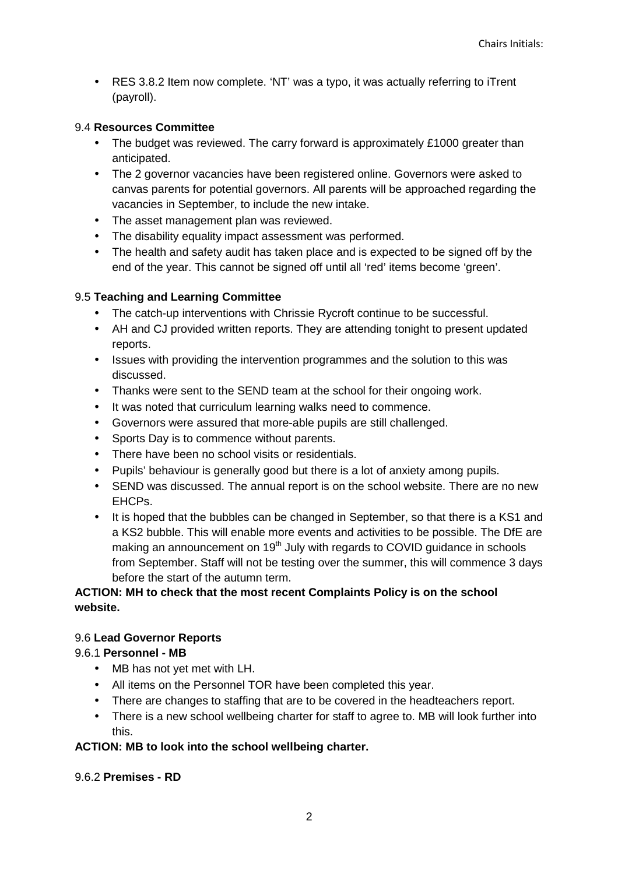• RES 3.8.2 Item now complete. 'NT' was a typo, it was actually referring to iTrent (payroll).

#### 9.4 **Resources Committee**

- The budget was reviewed. The carry forward is approximately £1000 greater than anticipated.
- The 2 governor vacancies have been registered online. Governors were asked to canvas parents for potential governors. All parents will be approached regarding the vacancies in September, to include the new intake.
- The asset management plan was reviewed.
- The disability equality impact assessment was performed.
- The health and safety audit has taken place and is expected to be signed off by the end of the year. This cannot be signed off until all 'red' items become 'green'.

# 9.5 **Teaching and Learning Committee**

- The catch-up interventions with Chrissie Rycroft continue to be successful.
- AH and CJ provided written reports. They are attending tonight to present updated reports.
- Issues with providing the intervention programmes and the solution to this was discussed.
- Thanks were sent to the SEND team at the school for their ongoing work.
- It was noted that curriculum learning walks need to commence.
- Governors were assured that more-able pupils are still challenged.
- Sports Day is to commence without parents.
- There have been no school visits or residentials.
- Pupils' behaviour is generally good but there is a lot of anxiety among pupils.
- SEND was discussed. The annual report is on the school website. There are no new EHCPs.
- It is hoped that the bubbles can be changed in September, so that there is a KS1 and a KS2 bubble. This will enable more events and activities to be possible. The DfE are making an announcement on 19<sup>th</sup> July with regards to COVID guidance in schools from September. Staff will not be testing over the summer, this will commence 3 days before the start of the autumn term.

# **ACTION: MH to check that the most recent Complaints Policy is on the school website.**

## 9.6 **Lead Governor Reports**

## 9.6.1 **Personnel - MB**

- MB has not yet met with LH.
- All items on the Personnel TOR have been completed this year.
- There are changes to staffing that are to be covered in the headteachers report.
- There is a new school wellbeing charter for staff to agree to. MB will look further into this.

## **ACTION: MB to look into the school wellbeing charter.**

## 9.6.2 **Premises - RD**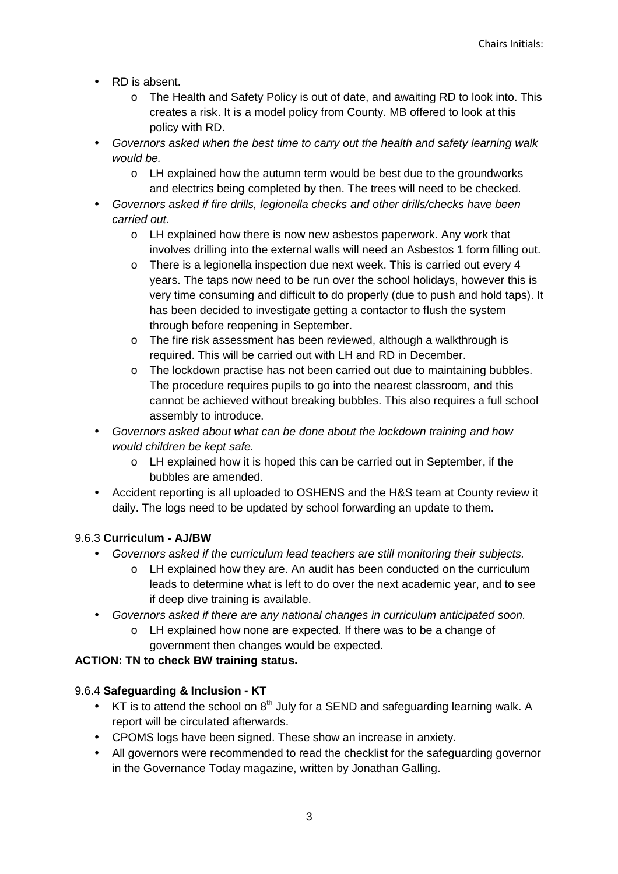- RD is absent.
	- o The Health and Safety Policy is out of date, and awaiting RD to look into. This creates a risk. It is a model policy from County. MB offered to look at this policy with RD.
- Governors asked when the best time to carry out the health and safety learning walk would be.
	- o LH explained how the autumn term would be best due to the groundworks and electrics being completed by then. The trees will need to be checked.
- Governors asked if fire drills, legionella checks and other drills/checks have been carried out.
	- o LH explained how there is now new asbestos paperwork. Any work that involves drilling into the external walls will need an Asbestos 1 form filling out.
	- $\circ$  There is a legionella inspection due next week. This is carried out every 4 years. The taps now need to be run over the school holidays, however this is very time consuming and difficult to do properly (due to push and hold taps). It has been decided to investigate getting a contactor to flush the system through before reopening in September.
	- o The fire risk assessment has been reviewed, although a walkthrough is required. This will be carried out with LH and RD in December.
	- o The lockdown practise has not been carried out due to maintaining bubbles. The procedure requires pupils to go into the nearest classroom, and this cannot be achieved without breaking bubbles. This also requires a full school assembly to introduce.
- Governors asked about what can be done about the lockdown training and how would children be kept safe.
	- o LH explained how it is hoped this can be carried out in September, if the bubbles are amended.
- Accident reporting is all uploaded to OSHENS and the H&S team at County review it daily. The logs need to be updated by school forwarding an update to them.

# 9.6.3 **Curriculum - AJ/BW**

- Governors asked if the curriculum lead teachers are still monitoring their subjects.
	- o LH explained how they are. An audit has been conducted on the curriculum leads to determine what is left to do over the next academic year, and to see if deep dive training is available.
- Governors asked if there are any national changes in curriculum anticipated soon.
	- o LH explained how none are expected. If there was to be a change of government then changes would be expected.

# **ACTION: TN to check BW training status.**

# 9.6.4 **Safeguarding & Inclusion - KT**

- KT is to attend the school on  $8<sup>th</sup>$  July for a SEND and safeguarding learning walk. A report will be circulated afterwards.
- CPOMS logs have been signed. These show an increase in anxiety.
- All governors were recommended to read the checklist for the safeguarding governor in the Governance Today magazine, written by Jonathan Galling.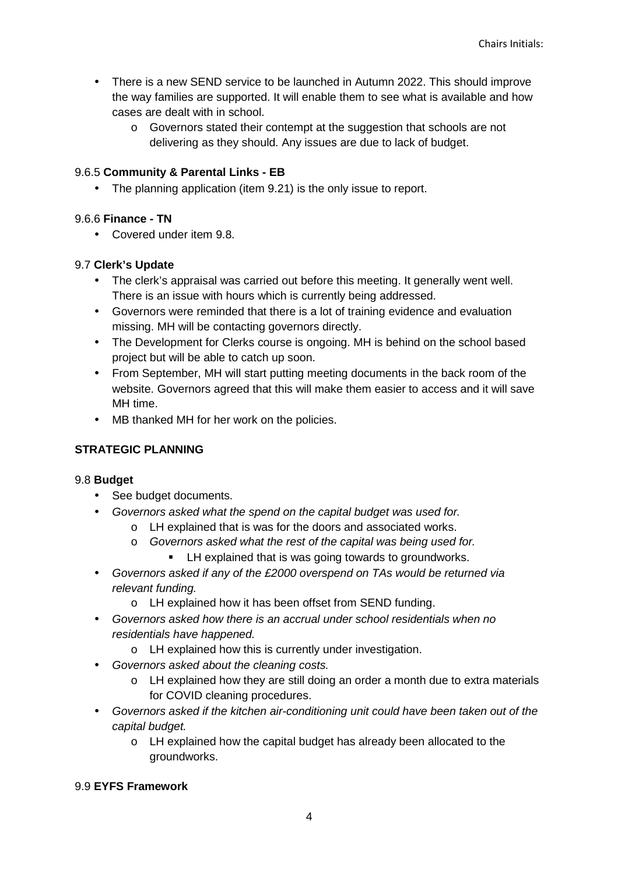- There is a new SEND service to be launched in Autumn 2022. This should improve the way families are supported. It will enable them to see what is available and how cases are dealt with in school.
	- o Governors stated their contempt at the suggestion that schools are not delivering as they should. Any issues are due to lack of budget.

# 9.6.5 **Community & Parental Links - EB**

• The planning application (item 9.21) is the only issue to report.

# 9.6.6 **Finance - TN**

• Covered under item 9.8.

# 9.7 **Clerk's Update**

- The clerk's appraisal was carried out before this meeting. It generally went well. There is an issue with hours which is currently being addressed.
- Governors were reminded that there is a lot of training evidence and evaluation missing. MH will be contacting governors directly.
- The Development for Clerks course is ongoing. MH is behind on the school based project but will be able to catch up soon.
- From September, MH will start putting meeting documents in the back room of the website. Governors agreed that this will make them easier to access and it will save MH time.
- MB thanked MH for her work on the policies.

# **STRATEGIC PLANNING**

## 9.8 **Budget**

- See budget documents.
- Governors asked what the spend on the capital budget was used for.
	- o LH explained that is was for the doors and associated works.
	- o Governors asked what the rest of the capital was being used for.
		- LH explained that is was going towards to groundworks.
- Governors asked if any of the £2000 overspend on TAs would be returned via relevant funding.
	- o LH explained how it has been offset from SEND funding.
- Governors asked how there is an accrual under school residentials when no residentials have happened.
	- o LH explained how this is currently under investigation.
- Governors asked about the cleaning costs.
	- o LH explained how they are still doing an order a month due to extra materials for COVID cleaning procedures.
- Governors asked if the kitchen air-conditioning unit could have been taken out of the capital budget.
	- o LH explained how the capital budget has already been allocated to the groundworks.

## 9.9 **EYFS Framework**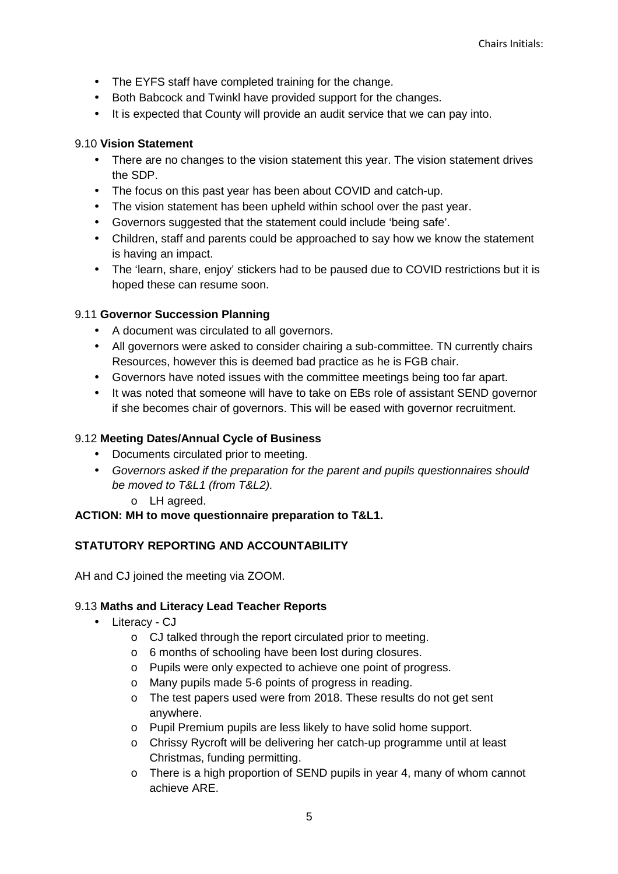- The EYFS staff have completed training for the change.
- Both Babcock and Twinkl have provided support for the changes.
- It is expected that County will provide an audit service that we can pay into.

# 9.10 **Vision Statement**

- There are no changes to the vision statement this year. The vision statement drives the SDP.
- The focus on this past year has been about COVID and catch-up.
- The vision statement has been upheld within school over the past year.
- Governors suggested that the statement could include 'being safe'.
- Children, staff and parents could be approached to say how we know the statement is having an impact.
- The 'learn, share, enjoy' stickers had to be paused due to COVID restrictions but it is hoped these can resume soon.

# 9.11 **Governor Succession Planning**

- A document was circulated to all governors.
- All governors were asked to consider chairing a sub-committee. TN currently chairs Resources, however this is deemed bad practice as he is FGB chair.
- Governors have noted issues with the committee meetings being too far apart.
- It was noted that someone will have to take on EBs role of assistant SEND governor if she becomes chair of governors. This will be eased with governor recruitment.

# 9.12 **Meeting Dates/Annual Cycle of Business**

- Documents circulated prior to meeting.
- Governors asked if the preparation for the parent and pupils questionnaires should be moved to T&L1 (from T&L2).
	- o LH agreed.

## **ACTION: MH to move questionnaire preparation to T&L1.**

# **STATUTORY REPORTING AND ACCOUNTABILITY**

AH and CJ joined the meeting via ZOOM.

## 9.13 **Maths and Literacy Lead Teacher Reports**

- Literacy CJ
	- o CJ talked through the report circulated prior to meeting.
	- o 6 months of schooling have been lost during closures.
	- o Pupils were only expected to achieve one point of progress.
	- o Many pupils made 5-6 points of progress in reading.
	- o The test papers used were from 2018. These results do not get sent anywhere.
	- o Pupil Premium pupils are less likely to have solid home support.
	- o Chrissy Rycroft will be delivering her catch-up programme until at least Christmas, funding permitting.
	- o There is a high proportion of SEND pupils in year 4, many of whom cannot achieve ARE.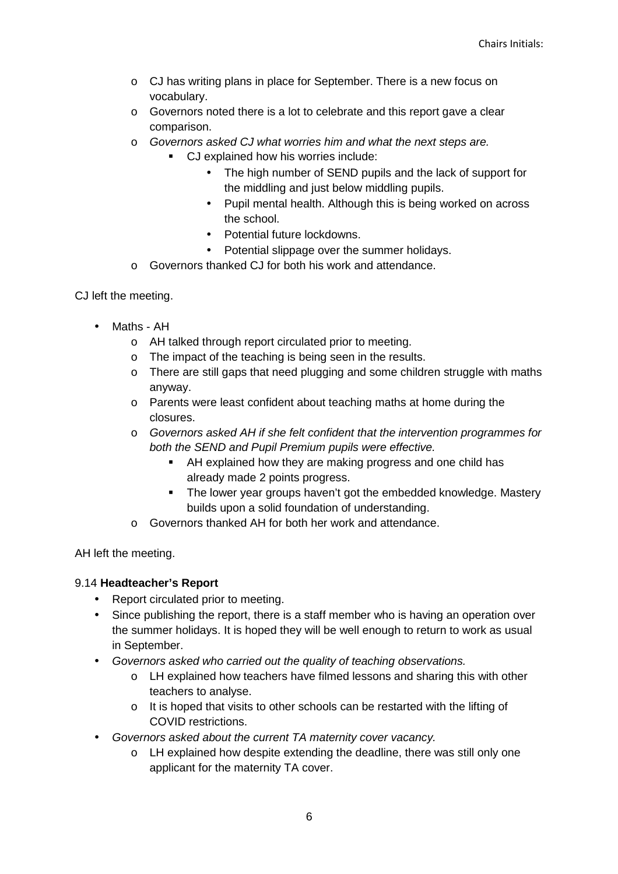- o CJ has writing plans in place for September. There is a new focus on vocabulary.
- o Governors noted there is a lot to celebrate and this report gave a clear comparison.
- o Governors asked CJ what worries him and what the next steps are.
	- CJ explained how his worries include:
		- The high number of SEND pupils and the lack of support for the middling and just below middling pupils.
		- Pupil mental health. Although this is being worked on across the school.
		- Potential future lockdowns.
		- Potential slippage over the summer holidays.
- o Governors thanked CJ for both his work and attendance.

CJ left the meeting.

- Maths AH
	- o AH talked through report circulated prior to meeting.
	- o The impact of the teaching is being seen in the results.
	- o There are still gaps that need plugging and some children struggle with maths anyway.
	- o Parents were least confident about teaching maths at home during the closures.
	- o Governors asked AH if she felt confident that the intervention programmes for both the SEND and Pupil Premium pupils were effective.
		- AH explained how they are making progress and one child has already made 2 points progress.
		- The lower year groups haven't got the embedded knowledge. Mastery builds upon a solid foundation of understanding.
	- o Governors thanked AH for both her work and attendance.

AH left the meeting.

# 9.14 **Headteacher's Report**

- Report circulated prior to meeting.
- Since publishing the report, there is a staff member who is having an operation over the summer holidays. It is hoped they will be well enough to return to work as usual in September.
- Governors asked who carried out the quality of teaching observations.
	- o LH explained how teachers have filmed lessons and sharing this with other teachers to analyse.
	- o It is hoped that visits to other schools can be restarted with the lifting of COVID restrictions.
- Governors asked about the current TA maternity cover vacancy.
	- o LH explained how despite extending the deadline, there was still only one applicant for the maternity TA cover.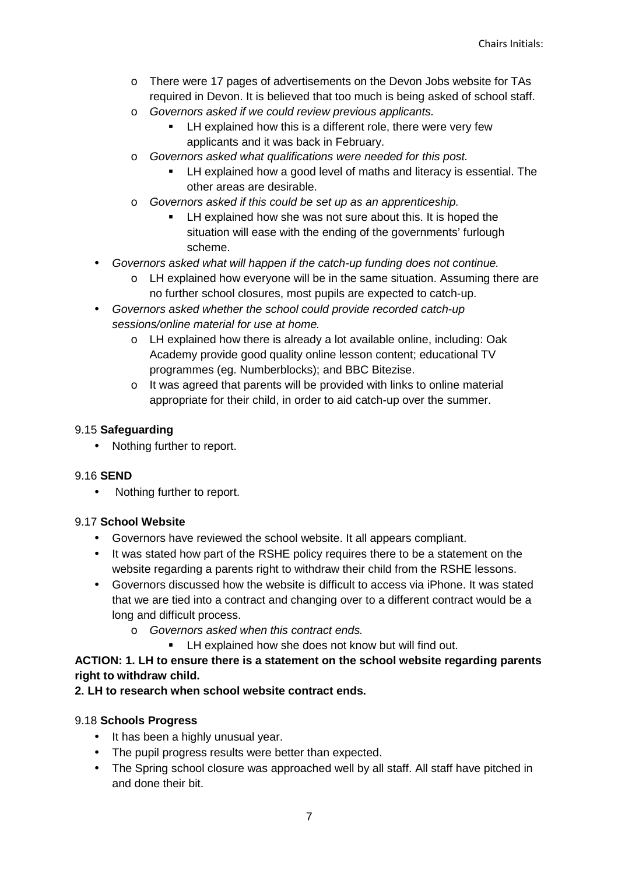- o There were 17 pages of advertisements on the Devon Jobs website for TAs required in Devon. It is believed that too much is being asked of school staff.
- o Governors asked if we could review previous applicants.
	- LH explained how this is a different role, there were very few applicants and it was back in February.
- o Governors asked what qualifications were needed for this post.
	- LH explained how a good level of maths and literacy is essential. The other areas are desirable.
- o Governors asked if this could be set up as an apprenticeship.
	- LH explained how she was not sure about this. It is hoped the situation will ease with the ending of the governments' furlough scheme.
- Governors asked what will happen if the catch-up funding does not continue.
	- o LH explained how everyone will be in the same situation. Assuming there are no further school closures, most pupils are expected to catch-up.
- Governors asked whether the school could provide recorded catch-up sessions/online material for use at home.
	- o LH explained how there is already a lot available online, including: Oak Academy provide good quality online lesson content; educational TV programmes (eg. Numberblocks); and BBC Bitezise.
	- o It was agreed that parents will be provided with links to online material appropriate for their child, in order to aid catch-up over the summer.

# 9.15 **Safeguarding**

• Nothing further to report.

# 9.16 **SEND**

• Nothing further to report.

## 9.17 **School Website**

- Governors have reviewed the school website. It all appears compliant.
- It was stated how part of the RSHE policy requires there to be a statement on the website regarding a parents right to withdraw their child from the RSHE lessons.
- Governors discussed how the website is difficult to access via iPhone. It was stated that we are tied into a contract and changing over to a different contract would be a long and difficult process.
	- o Governors asked when this contract ends.
		- **EXECUTE:** LH explained how she does not know but will find out.

# **ACTION: 1. LH to ensure there is a statement on the school website regarding parents right to withdraw child.**

## **2. LH to research when school website contract ends.**

# 9.18 **Schools Progress**

- It has been a highly unusual year.
- The pupil progress results were better than expected.
- The Spring school closure was approached well by all staff. All staff have pitched in and done their bit.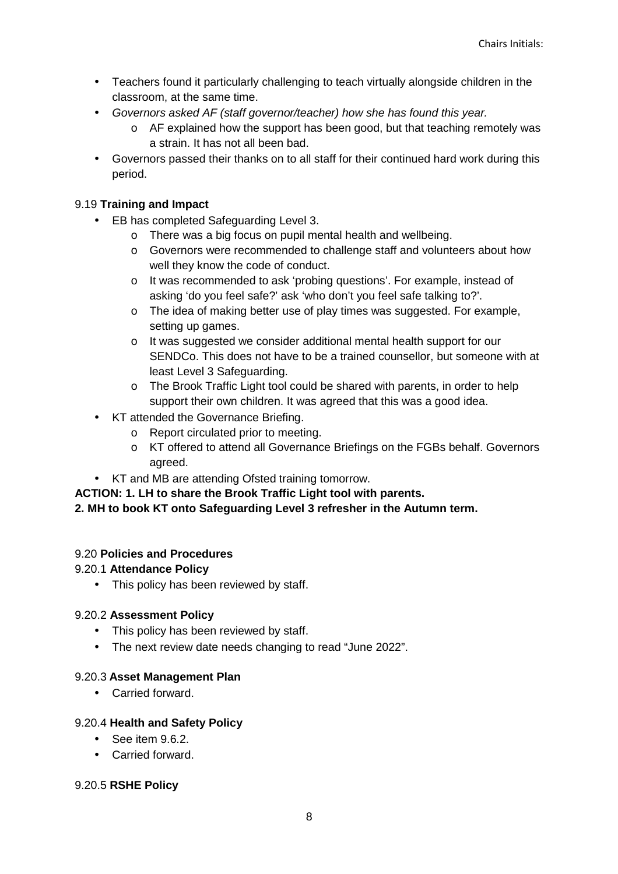- Teachers found it particularly challenging to teach virtually alongside children in the classroom, at the same time.
- Governors asked AF (staff governor/teacher) how she has found this year.
	- $\circ$  AF explained how the support has been good, but that teaching remotely was a strain. It has not all been bad.
- Governors passed their thanks on to all staff for their continued hard work during this period.

# 9.19 **Training and Impact**

- EB has completed Safeguarding Level 3.
	- o There was a big focus on pupil mental health and wellbeing.
	- o Governors were recommended to challenge staff and volunteers about how well they know the code of conduct.
	- o It was recommended to ask 'probing questions'. For example, instead of asking 'do you feel safe?' ask 'who don't you feel safe talking to?'.
	- o The idea of making better use of play times was suggested. For example, setting up games.
	- o It was suggested we consider additional mental health support for our SENDCo. This does not have to be a trained counsellor, but someone with at least Level 3 Safeguarding.
	- o The Brook Traffic Light tool could be shared with parents, in order to help support their own children. It was agreed that this was a good idea.
- KT attended the Governance Briefing.
	- o Report circulated prior to meeting.
	- o KT offered to attend all Governance Briefings on the FGBs behalf. Governors agreed.
- KT and MB are attending Ofsted training tomorrow.

## **ACTION: 1. LH to share the Brook Traffic Light tool with parents.**

## **2. MH to book KT onto Safeguarding Level 3 refresher in the Autumn term.**

## 9.20 **Policies and Procedures**

## 9.20.1 **Attendance Policy**

• This policy has been reviewed by staff.

## 9.20.2 **Assessment Policy**

- This policy has been reviewed by staff.
- The next review date needs changing to read "June 2022".

## 9.20.3 **Asset Management Plan**

• Carried forward.

## 9.20.4 **Health and Safety Policy**

- See item 9.6.2.
- Carried forward.

## 9.20.5 **RSHE Policy**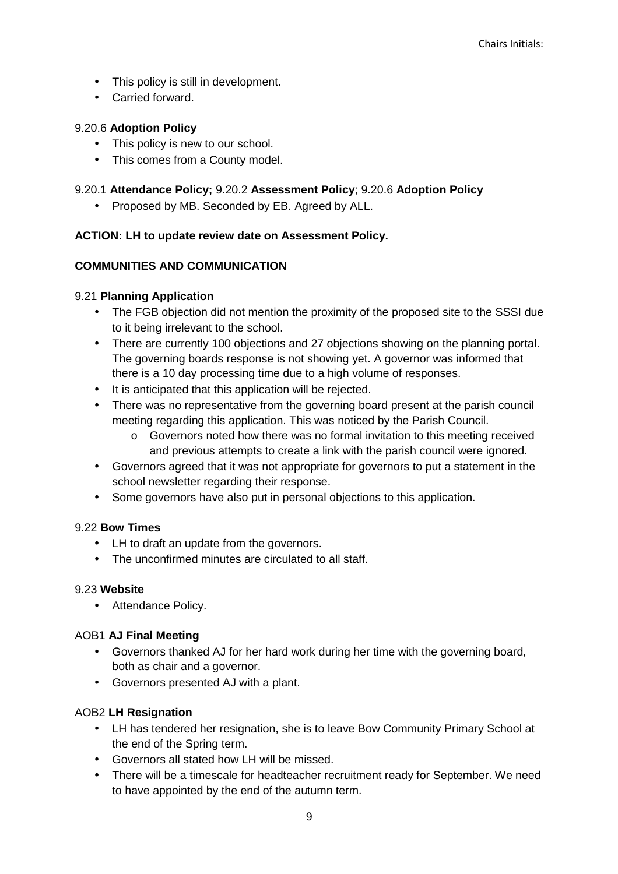- This policy is still in development.
- Carried forward.

# 9.20.6 **Adoption Policy**

- This policy is new to our school.
- This comes from a County model.

# 9.20.1 **Attendance Policy;** 9.20.2 **Assessment Policy**; 9.20.6 **Adoption Policy**

• Proposed by MB. Seconded by EB. Agreed by ALL.

# **ACTION: LH to update review date on Assessment Policy.**

# **COMMUNITIES AND COMMUNICATION**

# 9.21 **Planning Application**

- The FGB objection did not mention the proximity of the proposed site to the SSSI due to it being irrelevant to the school.
- There are currently 100 objections and 27 objections showing on the planning portal. The governing boards response is not showing yet. A governor was informed that there is a 10 day processing time due to a high volume of responses.
- It is anticipated that this application will be rejected.
- There was no representative from the governing board present at the parish council meeting regarding this application. This was noticed by the Parish Council.
	- $\circ$  Governors noted how there was no formal invitation to this meeting received and previous attempts to create a link with the parish council were ignored.
- Governors agreed that it was not appropriate for governors to put a statement in the school newsletter regarding their response.
- Some governors have also put in personal objections to this application.

## 9.22 **Bow Times**

- LH to draft an update from the governors.
- The unconfirmed minutes are circulated to all staff.

## 9.23 **Website**

• Attendance Policy.

## AOB1 **AJ Final Meeting**

- Governors thanked AJ for her hard work during her time with the governing board, both as chair and a governor.
- Governors presented AJ with a plant.

# AOB2 **LH Resignation**

- LH has tendered her resignation, she is to leave Bow Community Primary School at the end of the Spring term.
- Governors all stated how LH will be missed.
- There will be a timescale for headteacher recruitment ready for September. We need to have appointed by the end of the autumn term.